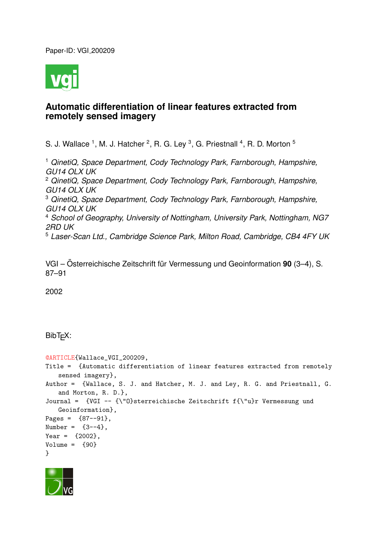Paper-ID: VGI 200209



# **Automatic differentiation of linear features extracted from remotely sensed imagery**

S. J. Wallace <sup>1</sup>, M. J. Hatcher <sup>2</sup>, R. G. Ley <sup>3</sup>, G. Priestnall <sup>4</sup>, R. D. Morton <sup>5</sup>

<sup>1</sup> *QinetiQ, Space Department, Cody Technology Park, Farnborough, Hampshire, GU14 OLX UK* <sup>2</sup> *QinetiQ, Space Department, Cody Technology Park, Farnborough, Hampshire, GU14 OLX UK* <sup>3</sup> *QinetiQ, Space Department, Cody Technology Park, Farnborough, Hampshire, GU14 OLX UK* <sup>4</sup> *School of Geography, University of Nottingham, University Park, Nottingham, NG7 2RD UK* <sup>5</sup> *Laser-Scan Ltd., Cambridge Science Park, Milton Road, Cambridge, CB4 4FY UK*

VGI – Österreichische Zeitschrift für Vermessung und Geoinformation 90 (3–4), S. 87–91

2002

## BibT<sub>F</sub>X:

```
@ARTICLE{Wallace_VGI_200209,
Title = {Automatic differentiation of linear features extracted from remotely
   sensed imagery},
Author = {Wallace, S. J. and Hatcher, M. J. and Ley, R. G. and Priestnall, G.
   and Morton, R. D.},
Journal = {VGI -- {\"O}sterreichische Zeitschrift f{\"u}r Vermessung und
   Geoinformation},
Pages = {87--91},
Number = {3-4},
Year = {2002},
Volume = \{90\}}
```
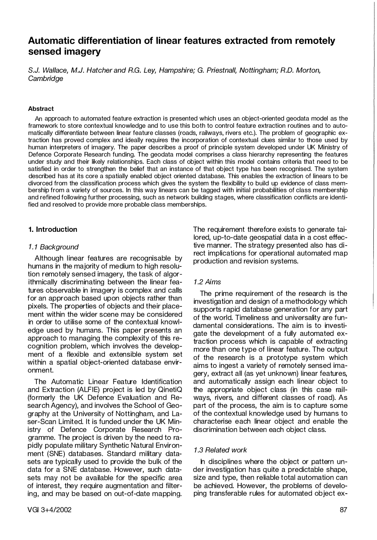## Automatie differentiation of linear features extracted from remotely sensed imagery

S.J. Wallace, M.J. Hatcher and R.G. Ley, Hampshire; G. Priestnall, Nottingham; R.D. Morton, **Cambridge** 

#### Abstract

An approach to automated feature extraction is presented which uses an object-oriented geodata model as the framework to store contextual knowledge and to use this both to control feature extraction routines and to automatically differentiate between linear feature classes (roads, railways, rivers etc.). The problem of geographic extraction has proved complex and ideally requires the incorporation of contextual clues similar to those used by human interpreters of imagery. The paper describes a proof of principle system developed under UK Ministry of Defence Corporate Research funding. The geodata model comprises a class hierarchy representing the features under study and their likely relationships. Each class of object within this model contains criteria that need to be satisfied in order to strengthen the belief that an instance of that object type has been recognised. The system described has at its core a spatially enabled object oriented database. This enables the extraction of linears to be divorced from the classification process which gives the system the flexibility to build up evidence of class membership from a variety of sources. In this way linears can be tagged with initial probabilities of class membership and refined following further processing, such as network building stages, where classification conflicts are identified and resolved to provide more probable class memberships.

## 1. lntroduction

### 1.1 Background

Although linear features are recognisable by humans in the majority of medium to high resolution remotely sensed imagery, the task of algorithmically discriminating between the linear features observable in imagery is complex and calls for an approach based upon objects rather than pixels. The properties of objects and their placement within the wider scene may be considered in order to utilise some of the contextual knowledge used by humans. This paper presents an approach to managing the complexity of this recognition problem, which involves the development of a flexible and extensible system set within a spatial object-oriented database environment.

The Automatie Linear Feature ldentification and Extraction (ALFIE) project is led by QinetiQ (formerly the UK Defence Evaluation and Research Agency), and involves the School of Geography at the University of Nottingham, and Laser-Scan Limited. lt is funded under the UK Ministry of Defence Corporate Research Programme. The project is driven by the need to rapidly populate military Synthetic Natural Environment (SNE) databases. Standard military datasets are typically used to provide the bulk of the data for a SNE database. However, such datasets may not be available for the specific area ot interest, they require augmentation and filtering, and may be based on out-of-date mapping. The requirement therefore exists to generate tailored, up-to-date geospatial data in a cost effective manner. The strategy presented also has direct implications for operational automated map production and revision systems.

### 1.2 Aims

The prime requirement of the research is the investigation and design of a methodology which supports rapid database generation for any part of the world. Timeliness and universality are fundamental considerations. The aim is to investigate the development of a fully automated extraction process which is capable of extracting more than one type of linear feature. The output of the research is a prototype system which aims to ingest a variety of remotely sensed imagery, extract all (as yet unknown) linear features, and automatically assign each linear object to the appropriate object class (in this case railways, rivers, and different classes of road). As part of the process, the aim is to capture some of the contextual knowledge used by humans to characterise each linear object and enable the discrimination between each object class.

## 1.3 Related work

In disciplines where the object or pattern under investigation has quite a predictable shape, size and type, then reliable total automation can be achieved. However, the problems of developing transferable rules for automated object ex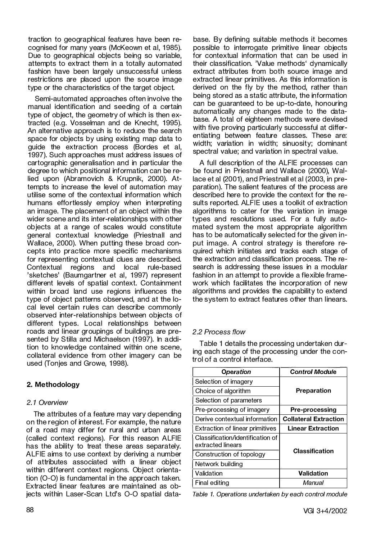traction to geographical features have been recognised for many years (McKeown et al, 1985). Due to geographical objects being so variable, attempts to extract them in a totally automated fashion have been largely unsuccessful unless restrictions are placed upon the source image type or the characteristics of the target object.

Semi-automated approaches often involve the manual identification and seeding of a certain type of object, the geometry of which is then extracted (e.g. Vosselman and de Knecht, 1995). An alternative approach is to reduce the search space for objects by using existing map data to guide the extraction process (Bordes et al, 1 997). Such approaches must address issues of cartographic generalisation and in particular the degree to which positional information can be relied upon (Abramovich & Krupnik, 2000). Attempts to increase the level of automation may utilise some of the contextual information which humans effortlessly employ when interpreting an image. The placement of an object within the wider scene and its inter-relationships with other objects at a range of scales would constitute general contextual knowledge (Priestnall and Wallace, 2000). When putting these broad concepts into practice more specific mechanisms for representing contextual clues are described. Contextual regions and local rule-based 'sketches' (Baumgartner et al, 1997) represent different levels of spatial context. Containment within broad land use regions influences the type of object patterns observed, and at the local level certain rules can describe commonly observed inter-relationships between objects of different types. Local relationships between roads and linear groupings of buildings are presented by Stilla and Michaelson (1997). In addition to knowledge contained within one scene, collateral evidence from other imagery can be used (Tonjes and Growe, 1998).

## 2. Methodology

## 2. 1 Overview

The attributes of a feature may vary depending on the region of interest. For example, the nature of a road may differ for rural and urban areas (called context regions). For this reason ALFIE has the ability to treat these areas separately. ALFIE aims to use context by deriving a number of attributes associated with a linear object within different context regions. Object orientation (0-0) is fundamental in the approach taken. Extracted linear features are maintained as ob-<br>jects within Laser-Scan Ltd's O-O spatial database. By defining suitable methods it becomes possible to interrogate primitive linear objects for contextual information that can be used in their classification. 'Value methods' dynamically extract attributes from both source image and extracted linear primitives. As this information is derived on the fly by the method, rather than being stored as a static attribute, the information can be guaranteed to be up-to-date, honouring automatically any changes made to the database. A total of eighteen methods were devised with five proving particularly successful at differentiating between feature classes. These are: width; variation in width; sinuosity; dominant spectral value; and variation in spectral value.

A full description of the ALFIE processes can be found in Priestnall and Wallace (2000), Wallace et al (2001), and Priestnall et al (2003, in preparation). The salient features of the process are described here to provide the context for the results reported. ALFIE uses a toolkit of extraction algorithms to cater for the variation in image types and resolutions used. For a fully automated system the most appropriate algorithm has to be automatically selected for the given input image. A control strategy is therefore required which initiates and tracks each stage of the extraction and classification process. The research is addressing these issues in a modular fashion in an attempt to provide a flexible framework which facilitates the incorporation of new algorithms and provides the capability to extend the system to extract features other than linears.

## 2.2 Process f/ow

Table 1 details the processing undertaken during each stage of the processing under the control of a control interface.

| Operation                                             | <b>Control Module</b>        |  |
|-------------------------------------------------------|------------------------------|--|
| Selection of imagery                                  |                              |  |
| Choice of algorithm                                   | Preparation                  |  |
| Selection of parameters                               |                              |  |
| Pre-processing of imagery                             | <b>Pre-processing</b>        |  |
| Derive contextual information                         | <b>Collateral Extraction</b> |  |
| <b>Extraction of linear primitives</b>                | <b>Linear Extraction</b>     |  |
| Classification/identification of<br>extracted linears | <b>Classification</b>        |  |
| Construction of topology                              |                              |  |
| Network building                                      |                              |  |
| l Validation                                          | Validation                   |  |
| Final editing                                         | Manual                       |  |

Table 1. Operations undertaken by each control module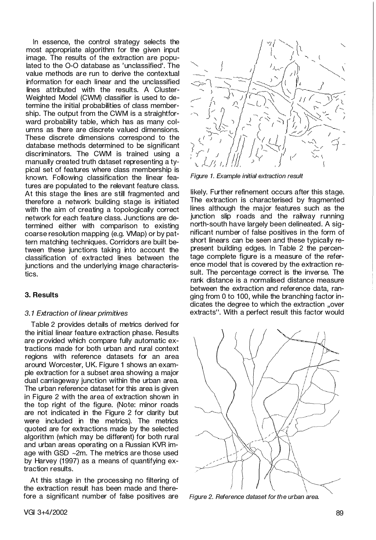In essence, the control strategy selects the most appropriate algorithm for the given input image. The results of the extraction are populated to the 0-0 database as 'unclassified'. The value methods are run to derive the contextual information for each linear and the unclassified lines attributed with the results. A Cluster-Weighted Model (CWM) classifier is used to determine the initial probabilities of class membership. The output from the CWM is a straightforward probability table, which has as many columns as there are discrete valued dimensions. These discrete dimensions correspond to the database methods determined to be significant discriminators. The CWM is trained using a manually created truth dataset representing a typical set of features where class membership is known. Following classification the linear features are populated to the relevant feature class. At this stage the lines are still fragmented and therefore a network building stage is initiated with the aim of creating a topologically correct network for each feature class. Junctions are determined either with comparison to existing coarse resolution mapping (e.g. VMap) or by pattern matching techniques. Corridors are built between these junctions taking into account the classification of extracted lines between the junctions and the underlying image characteristics.

### 3. Results

#### 3. 1 Extraction of linear primitives

Table 2 provides details of metrics derived for the initial linear feature extraction phase. Results are provided which compare fully automatic extractions made for both urban and rural context regions with reference datasets for an area around Worcester, UK. Figure 1 shows an example extraction for a subset area showing a major dual carriageway junction within the urban area. The urban reference dataset for this area is given in Figure 2 with the area of extraction shown in the top right of the figure. (Note: minor roads are not indicated in the Figure 2 for clarity but were included in the metrics). The metrics quoted are for extractions made by the selected algorithm (which may be different) for both rural and urban areas operating on a Russian KVR image with GSD  $\sim$ 2m. The metrics are those used by Harvey (1997) as a means of quantifying extraction results.

At this stage in the processing no filtering of the extraction result has been made and therefore a significant number of false positives are



Figure 1. Example initial extraction result

likely. Further refinement occurs after this stage. The extraction is characterised by fragmented lines although the major features such as the junction slip roads and the railway running north-south have largely been delineated. A significant number of false positives in the form of short linears can be seen and these typically represent building edges. In Table 2 the percentage complete figure is a measure of the reference model that is covered by the extraction result. The percentage correct is the inverse. The rank distance is a normalised distance measure between the extraction and reference data, ranging from 0 to 100, while the branching factor indicates the degree to which the extraction "over extracts". With a perfect result this factor would



Figure 2. Reference dataset for the urban area.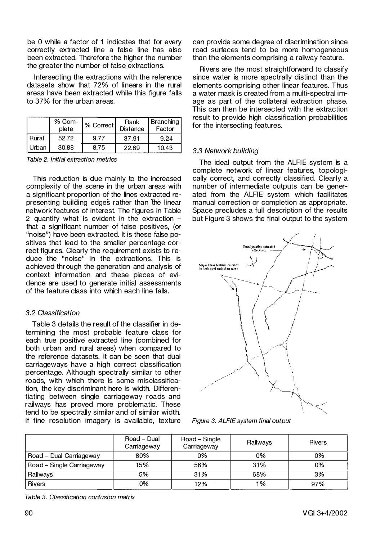be 0 while a factor of 1 indicates that for every correctly extracted line a false line has also been extracted. Theretore the higher the number the greater the number of false extractions.

lntersecting the extractions with the reference datasets show that 72% of linears in the rural areas have been extracted while this figure falls to 37% for the urban areas.

|       | % Com-<br>plete | 1% Correct | Rank<br><b>Distance</b> | Branching<br>Factor |
|-------|-----------------|------------|-------------------------|---------------------|
| Rural | 52.72           | 9.77       | 37.91                   | 9.24                |
| Urban | 30.88           | 8.75       | 22.69                   | 10.43               |

Table 2. Initial extraction metrics

This reduction is due mainly to the increased complexity of the scene in the urban areas with a significant proportion of the lines extracted representing building edges rather than the linear network features of interest. The figures in Table 2 quantify what is evident in the extraction that a significant number of false positives, (or "noise") have been extracted. lt is these false positives that lead to the smaller percentage correct figures. Clearly the requirement exists to reduce the "noise" in the extractions. This is achieved through the generation and analysis of context information and these pieces of evidence are used to generate initial assessments of the feature class into which each line falls.

## 3.2 Classification

Table 3 details the result of the classifier in determining the most probable feature class for each true positive extracted line (combined for both urban and rural areas) when compared to the reference datasets. lt can be seen that dual carriageways have a high correct classification percentage. Although spectrally similar to other roads, with which there is some misclassification, the key discriminant here is width. Differentiating between single carriageway roads and railways has proved more problematic. These tend to be spectrally similar and of similar width. lt fine resolution imagery is available, texture can provide some degree of discrimination since road surfaces tend to be more homogeneous than the elements comprising a railway feature.

Rivers are the most straightforward to classify since water is more spectrally distinct than the elements comprising other linear features. Thus a water mask is created from a multi-spectral image as part of the collateral extraction phase. This can then be intersected with the extraction result to provide high classification probabilities for the intersecting features.

## 3.3 Network building

The ideal output from the ALFIE system is a complete network of linear features, topologically correct, and correctly classified. Clearly a number of intermediate outputs can be generated from the ALFIE system which facilitates manual correction or completion as appropriate. Space precludes a full description of the results but Figure 3 shows the final output to the system



Figure 3. ALFIE system final output

|                           | Road - Dual<br>Carriageway | Road – Single<br>Carriageway | Railways | <b>Rivers</b> |
|---------------------------|----------------------------|------------------------------|----------|---------------|
| Road - Dual Carriageway   | 80%                        | 0%                           | 0%       | 0%            |
| Road – Single Carriageway | 15%                        | 56%                          | 31%      | 0%            |
| Railways                  | 5%                         | 31%                          | 68%      | 3%            |
| <b>Rivers</b>             | 0%                         | 12%                          | 1%       | 97%           |

Table 3. Classification confusion matrix